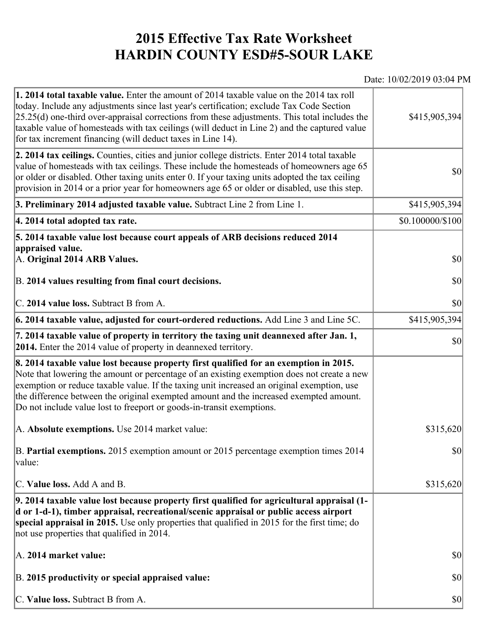## **2015 Effective Tax Rate Worksheet HARDIN COUNTY ESD#5-SOUR LAKE**

## Date: 10/02/2019 03:04 PM

| <b>1. 2014 total taxable value.</b> Enter the amount of 2014 taxable value on the 2014 tax roll<br>today. Include any adjustments since last year's certification; exclude Tax Code Section<br>$[25.25(d)$ one-third over-appraisal corrections from these adjustments. This total includes the<br>taxable value of homesteads with tax ceilings (will deduct in Line 2) and the captured value<br>for tax increment financing (will deduct taxes in Line 14). | \$415,905,394                       |
|----------------------------------------------------------------------------------------------------------------------------------------------------------------------------------------------------------------------------------------------------------------------------------------------------------------------------------------------------------------------------------------------------------------------------------------------------------------|-------------------------------------|
| 2. 2014 tax ceilings. Counties, cities and junior college districts. Enter 2014 total taxable<br>value of homesteads with tax ceilings. These include the homesteads of homeowners age 65<br>or older or disabled. Other taxing units enter 0. If your taxing units adopted the tax ceiling<br>provision in 2014 or a prior year for homeowners age 65 or older or disabled, use this step.                                                                    | $ 10\rangle$                        |
| 3. Preliminary 2014 adjusted taxable value. Subtract Line 2 from Line 1.                                                                                                                                                                                                                                                                                                                                                                                       | \$415,905,394                       |
| 4. 2014 total adopted tax rate.                                                                                                                                                                                                                                                                                                                                                                                                                                | $$0.100000 \times 100$              |
| 5. 2014 taxable value lost because court appeals of ARB decisions reduced 2014<br>appraised value.                                                                                                                                                                                                                                                                                                                                                             |                                     |
| A. Original 2014 ARB Values.                                                                                                                                                                                                                                                                                                                                                                                                                                   | $ 10\rangle$                        |
| B. 2014 values resulting from final court decisions.                                                                                                                                                                                                                                                                                                                                                                                                           | \$0                                 |
| C. 2014 value loss. Subtract B from A.                                                                                                                                                                                                                                                                                                                                                                                                                         | $\vert \mathbf{S} \mathbf{O} \vert$ |
| 6. 2014 taxable value, adjusted for court-ordered reductions. Add Line 3 and Line 5C.                                                                                                                                                                                                                                                                                                                                                                          | \$415,905,394                       |
| 7. 2014 taxable value of property in territory the taxing unit deannexed after Jan. 1,<br><b>2014.</b> Enter the 2014 value of property in deannexed territory.                                                                                                                                                                                                                                                                                                | $ 10\rangle$                        |
| 8. 2014 taxable value lost because property first qualified for an exemption in 2015.<br>Note that lowering the amount or percentage of an existing exemption does not create a new<br>exemption or reduce taxable value. If the taxing unit increased an original exemption, use<br>the difference between the original exempted amount and the increased exempted amount.<br>Do not include value lost to freeport or goods-in-transit exemptions.           |                                     |
| A. Absolute exemptions. Use 2014 market value:                                                                                                                                                                                                                                                                                                                                                                                                                 | \$315,620                           |
| B. Partial exemptions. 2015 exemption amount or 2015 percentage exemption times 2014<br>$\vert$ value:                                                                                                                                                                                                                                                                                                                                                         | <b>\$0</b>                          |
| C. Value loss. Add A and B.                                                                                                                                                                                                                                                                                                                                                                                                                                    | \$315,620                           |
| 9. 2014 taxable value lost because property first qualified for agricultural appraisal (1-<br>d or 1-d-1), timber appraisal, recreational/scenic appraisal or public access airport<br>special appraisal in 2015. Use only properties that qualified in 2015 for the first time; do<br>not use properties that qualified in 2014.                                                                                                                              |                                     |
| A. 2014 market value:                                                                                                                                                                                                                                                                                                                                                                                                                                          | $ 10\rangle$                        |
| B. 2015 productivity or special appraised value:                                                                                                                                                                                                                                                                                                                                                                                                               | $ 10\rangle$                        |
| C. Value loss. Subtract B from A.                                                                                                                                                                                                                                                                                                                                                                                                                              | $ 10\rangle$                        |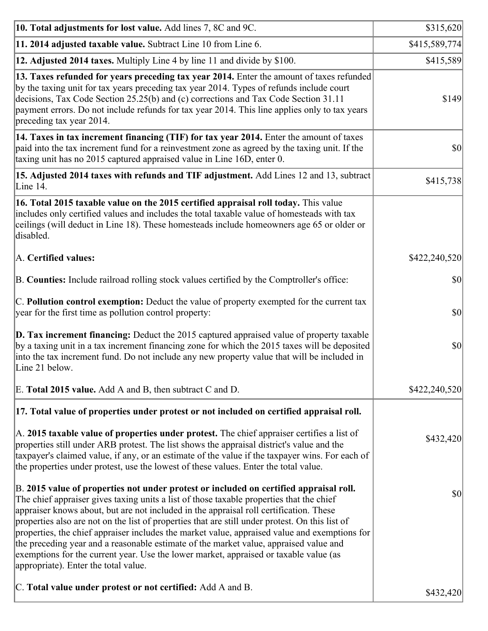| 10. Total adjustments for lost value. Add lines 7, 8C and 9C.                                                                                                                                                                                                                                                                                                                                                                                                                                                                                                                                                                                                                                              | \$315,620     |
|------------------------------------------------------------------------------------------------------------------------------------------------------------------------------------------------------------------------------------------------------------------------------------------------------------------------------------------------------------------------------------------------------------------------------------------------------------------------------------------------------------------------------------------------------------------------------------------------------------------------------------------------------------------------------------------------------------|---------------|
| 11. 2014 adjusted taxable value. Subtract Line 10 from Line 6.                                                                                                                                                                                                                                                                                                                                                                                                                                                                                                                                                                                                                                             | \$415,589,774 |
| 12. Adjusted 2014 taxes. Multiply Line 4 by line 11 and divide by \$100.                                                                                                                                                                                                                                                                                                                                                                                                                                                                                                                                                                                                                                   | \$415,589     |
| 13. Taxes refunded for years preceding tax year 2014. Enter the amount of taxes refunded<br>by the taxing unit for tax years preceding tax year 2014. Types of refunds include court<br>decisions, Tax Code Section 25.25(b) and (c) corrections and Tax Code Section 31.11<br>payment errors. Do not include refunds for tax year 2014. This line applies only to tax years<br>preceding tax year 2014.                                                                                                                                                                                                                                                                                                   | \$149         |
| 14. Taxes in tax increment financing (TIF) for tax year 2014. Enter the amount of taxes<br>paid into the tax increment fund for a reinvestment zone as agreed by the taxing unit. If the<br>taxing unit has no 2015 captured appraised value in Line 16D, enter 0.                                                                                                                                                                                                                                                                                                                                                                                                                                         | \$0           |
| 15. Adjusted 2014 taxes with refunds and TIF adjustment. Add Lines 12 and 13, subtract<br>Line 14.                                                                                                                                                                                                                                                                                                                                                                                                                                                                                                                                                                                                         | \$415,738     |
| 16. Total 2015 taxable value on the 2015 certified appraisal roll today. This value<br>includes only certified values and includes the total taxable value of homesteads with tax<br>ceilings (will deduct in Line 18). These homesteads include homeowners age 65 or older or<br>disabled.                                                                                                                                                                                                                                                                                                                                                                                                                |               |
| A. Certified values:                                                                                                                                                                                                                                                                                                                                                                                                                                                                                                                                                                                                                                                                                       | \$422,240,520 |
| B. Counties: Include railroad rolling stock values certified by the Comptroller's office:                                                                                                                                                                                                                                                                                                                                                                                                                                                                                                                                                                                                                  | \$0           |
| C. Pollution control exemption: Deduct the value of property exempted for the current tax<br>year for the first time as pollution control property:                                                                                                                                                                                                                                                                                                                                                                                                                                                                                                                                                        | \$0           |
| <b>D. Tax increment financing:</b> Deduct the 2015 captured appraised value of property taxable<br>by a taxing unit in a tax increment financing zone for which the 2015 taxes will be deposited<br>into the tax increment fund. Do not include any new property value that will be included in<br>Line 21 below.                                                                                                                                                                                                                                                                                                                                                                                          | \$0           |
| E. Total 2015 value. Add A and B, then subtract C and D.                                                                                                                                                                                                                                                                                                                                                                                                                                                                                                                                                                                                                                                   | \$422,240,520 |
| 17. Total value of properties under protest or not included on certified appraisal roll.                                                                                                                                                                                                                                                                                                                                                                                                                                                                                                                                                                                                                   |               |
| A. 2015 taxable value of properties under protest. The chief appraiser certifies a list of<br>properties still under ARB protest. The list shows the appraisal district's value and the<br>taxpayer's claimed value, if any, or an estimate of the value if the taxpayer wins. For each of<br>the properties under protest, use the lowest of these values. Enter the total value.                                                                                                                                                                                                                                                                                                                         | \$432,420     |
| B. 2015 value of properties not under protest or included on certified appraisal roll.<br>The chief appraiser gives taxing units a list of those taxable properties that the chief<br>appraiser knows about, but are not included in the appraisal roll certification. These<br>properties also are not on the list of properties that are still under protest. On this list of<br>properties, the chief appraiser includes the market value, appraised value and exemptions for<br>the preceding year and a reasonable estimate of the market value, appraised value and<br>exemptions for the current year. Use the lower market, appraised or taxable value (as<br>appropriate). Enter the total value. | \$0           |
| C. Total value under protest or not certified: Add A and B.                                                                                                                                                                                                                                                                                                                                                                                                                                                                                                                                                                                                                                                | \$432,420     |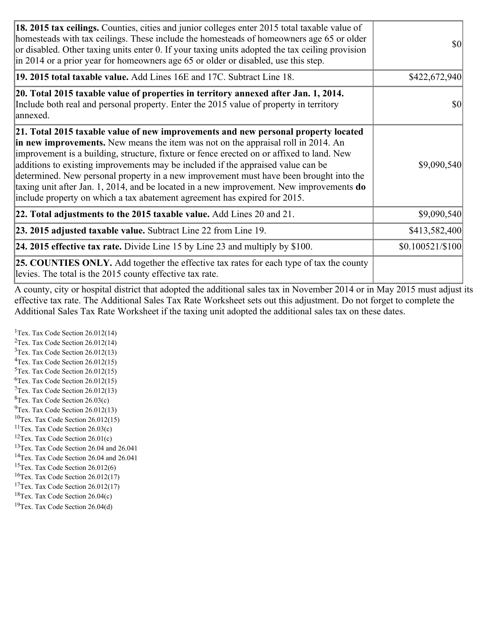| 18. 2015 tax ceilings. Counties, cities and junior colleges enter 2015 total taxable value of<br>homesteads with tax ceilings. These include the homesteads of homeowners age 65 or older<br>or disabled. Other taxing units enter 0. If your taxing units adopted the tax ceiling provision<br>$\ln 2014$ or a prior year for homeowners age 65 or older or disabled, use this step.                                                                                                                                                                                                                                         | <b>\$0</b>       |
|-------------------------------------------------------------------------------------------------------------------------------------------------------------------------------------------------------------------------------------------------------------------------------------------------------------------------------------------------------------------------------------------------------------------------------------------------------------------------------------------------------------------------------------------------------------------------------------------------------------------------------|------------------|
| 19. 2015 total taxable value. Add Lines 16E and 17C. Subtract Line 18.                                                                                                                                                                                                                                                                                                                                                                                                                                                                                                                                                        | \$422,672,940    |
| 20. Total 2015 taxable value of properties in territory annexed after Jan. 1, 2014.<br>Include both real and personal property. Enter the 2015 value of property in territory<br>annexed.                                                                                                                                                                                                                                                                                                                                                                                                                                     | <b>\$0</b>       |
| 21. Total 2015 taxable value of new improvements and new personal property located<br>in new improvements. New means the item was not on the appraisal roll in 2014. An<br>improvement is a building, structure, fixture or fence erected on or affixed to land. New<br>additions to existing improvements may be included if the appraised value can be<br>determined. New personal property in a new improvement must have been brought into the<br>taxing unit after Jan. 1, 2014, and be located in a new improvement. New improvements $do$<br>include property on which a tax abatement agreement has expired for 2015. | \$9,090,540      |
| 22. Total adjustments to the 2015 taxable value. Add Lines 20 and 21.                                                                                                                                                                                                                                                                                                                                                                                                                                                                                                                                                         | \$9,090,540      |
| <b>23. 2015 adjusted taxable value.</b> Subtract Line 22 from Line 19.                                                                                                                                                                                                                                                                                                                                                                                                                                                                                                                                                        | \$413,582,400    |
| 24. 2015 effective tax rate. Divide Line 15 by Line 23 and multiply by $$100$ .                                                                                                                                                                                                                                                                                                                                                                                                                                                                                                                                               | \$0.100521/\$100 |
| <b>25. COUNTIES ONLY.</b> Add together the effective tax rates for each type of tax the county<br>levies. The total is the 2015 county effective tax rate.                                                                                                                                                                                                                                                                                                                                                                                                                                                                    |                  |

A county, city or hospital district that adopted the additional sales tax in November 2014 or in May 2015 must adjust its effective tax rate. The Additional Sales Tax Rate Worksheet sets out this adjustment. Do not forget to complete the Additional Sales Tax Rate Worksheet if the taxing unit adopted the additional sales tax on these dates.

<sup>1</sup>Tex. Tax Code Section  $26.012(14)$ <sup>2</sup>Tex. Tax Code Section  $26.012(14)$  $3$ Tex. Tax Code Section 26.012(13)  ${}^{4}$ Tex. Tax Code Section 26.012(15) <sup>5</sup>Tex. Tax Code Section 26.012(15)  ${}^{6}$ Tex. Tax Code Section 26.012(15)  $7$ Tex. Tax Code Section 26.012(13)  ${}^{8}$ Tex. Tax Code Section 26.03(c)  $^{9}$ Tex. Tax Code Section 26.012(13)  $10$ Tex. Tax Code Section 26.012(15) <sup>11</sup>Tex. Tax Code Section  $26.03(c)$  ${}^{12}$ Tex. Tax Code Section 26.01(c) <sup>13</sup>Tex. Tax Code Section 26.04 and 26.041 <sup>14</sup>Tex. Tax Code Section 26.04 and 26.041 <sup>15</sup>Tex. Tax Code Section  $26.012(6)$  $16$ Tex. Tax Code Section 26.012(17) <sup>17</sup>Tex. Tax Code Section 26.012(17) <sup>18</sup>Tex. Tax Code Section  $26.04(c)$  $19$ Tex. Tax Code Section 26.04(d)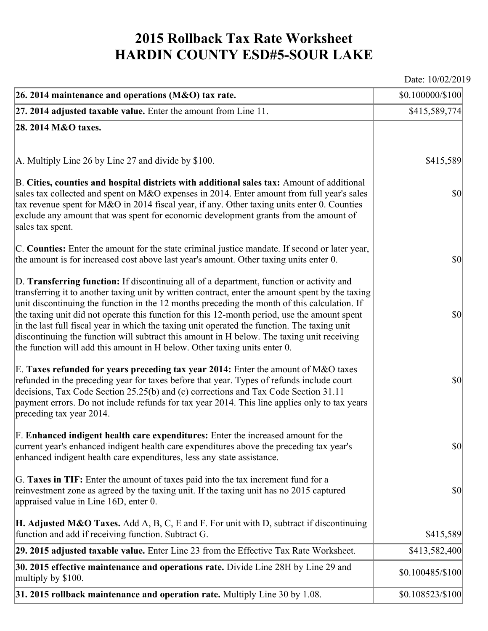## **2015 Rollback Tax Rate Worksheet HARDIN COUNTY ESD#5-SOUR LAKE**

Date: 10/02/2019

| 26. 2014 maintenance and operations (M&O) tax rate.                                                                                                                                                                                                                                                                                                                                                                                                                                                                                                                                                                                                                     | \$0.100000/\$100 |
|-------------------------------------------------------------------------------------------------------------------------------------------------------------------------------------------------------------------------------------------------------------------------------------------------------------------------------------------------------------------------------------------------------------------------------------------------------------------------------------------------------------------------------------------------------------------------------------------------------------------------------------------------------------------------|------------------|
| $27.2014$ adjusted taxable value. Enter the amount from Line 11.                                                                                                                                                                                                                                                                                                                                                                                                                                                                                                                                                                                                        | \$415,589,774    |
| 28. 2014 M&O taxes.                                                                                                                                                                                                                                                                                                                                                                                                                                                                                                                                                                                                                                                     |                  |
|                                                                                                                                                                                                                                                                                                                                                                                                                                                                                                                                                                                                                                                                         |                  |
| A. Multiply Line 26 by Line 27 and divide by \$100.                                                                                                                                                                                                                                                                                                                                                                                                                                                                                                                                                                                                                     | \$415,589        |
| B. Cities, counties and hospital districts with additional sales tax: Amount of additional<br>sales tax collected and spent on M&O expenses in 2014. Enter amount from full year's sales<br>tax revenue spent for M&O in 2014 fiscal year, if any. Other taxing units enter 0. Counties<br>exclude any amount that was spent for economic development grants from the amount of<br>sales tax spent.                                                                                                                                                                                                                                                                     | $ 10\rangle$     |
| C. Counties: Enter the amount for the state criminal justice mandate. If second or later year,<br>the amount is for increased cost above last year's amount. Other taxing units enter 0.                                                                                                                                                                                                                                                                                                                                                                                                                                                                                | $ 10\rangle$     |
| D. Transferring function: If discontinuing all of a department, function or activity and<br>transferring it to another taxing unit by written contract, enter the amount spent by the taxing<br>unit discontinuing the function in the 12 months preceding the month of this calculation. If<br>the taxing unit did not operate this function for this 12-month period, use the amount spent<br>in the last full fiscal year in which the taxing unit operated the function. The taxing unit<br>discontinuing the function will subtract this amount in H below. The taxing unit receiving<br>the function will add this amount in H below. Other taxing units enter 0. | $ 10\rangle$     |
| E. Taxes refunded for years preceding tax year 2014: Enter the amount of M&O taxes<br>refunded in the preceding year for taxes before that year. Types of refunds include court<br>decisions, Tax Code Section 25.25(b) and (c) corrections and Tax Code Section 31.11<br>payment errors. Do not include refunds for tax year 2014. This line applies only to tax years<br>preceding tax year 2014.                                                                                                                                                                                                                                                                     | $ 10\rangle$     |
| F. Enhanced indigent health care expenditures: Enter the increased amount for the<br>current year's enhanced indigent health care expenditures above the preceding tax year's<br>enhanced indigent health care expenditures, less any state assistance.                                                                                                                                                                                                                                                                                                                                                                                                                 | $ 10\rangle$     |
| G. Taxes in TIF: Enter the amount of taxes paid into the tax increment fund for a<br>reinvestment zone as agreed by the taxing unit. If the taxing unit has no 2015 captured<br>appraised value in Line 16D, enter 0.                                                                                                                                                                                                                                                                                                                                                                                                                                                   | $ 10\rangle$     |
| <b>H. Adjusted M&amp;O Taxes.</b> Add A, B, C, E and F. For unit with D, subtract if discontinuing<br>function and add if receiving function. Subtract G.                                                                                                                                                                                                                                                                                                                                                                                                                                                                                                               | \$415,589        |
| 29. 2015 adjusted taxable value. Enter Line 23 from the Effective Tax Rate Worksheet.                                                                                                                                                                                                                                                                                                                                                                                                                                                                                                                                                                                   | \$413,582,400    |
| 30. 2015 effective maintenance and operations rate. Divide Line 28H by Line 29 and<br>multiply by \$100.                                                                                                                                                                                                                                                                                                                                                                                                                                                                                                                                                                | \$0.100485/\$100 |
| 31. 2015 rollback maintenance and operation rate. Multiply Line 30 by 1.08.                                                                                                                                                                                                                                                                                                                                                                                                                                                                                                                                                                                             | \$0.108523/\$100 |